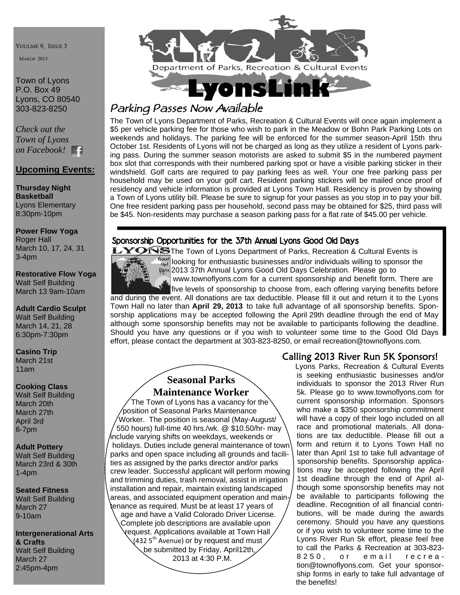VOULME 9, ISSUE 3

MARCH 2013

Town of Lyons P.O. Box 49 Lyons, CO 80540 303-823-8250

*Check out the Town of Lyons on Facebook!* 

### **Upcoming Events:**

**Thursday Night Basketball**  Lyons Elementary 8:30pm-10pm

**Power Flow Yoga**  Roger Hall March 10, 17, 24, 31 3-4pm

#### **Restorative Flow Yoga** Walt Self Building March 13 9am-10am

**Adult Cardio Sculpt**  Walt Self Building March 14, 21, 28 6:30pm-7:30pm

**Casino Trip**  March 21st 11am

#### **Cooking Class**

Walt Self Building March 20th March 27th April 3rd 6-7pm

**Adult Pottery**  Walt Self Building March 23rd & 30th 1-4pm

**Seated Fitness**  Walt Self Building March 27 9-10am

**Intergenerational Arts & Crafts**  Walt Self Building March 27 2:45pm-4pm



# *Parking Passes Now Available*

The Town of Lyons Department of Parks, Recreation & Cultural Events will once again implement a \$5 per vehicle parking fee for those who wish to park in the Meadow or Bohn Park Parking Lots on weekends and holidays. The parking fee will be enforced for the summer season-April 15th thru October 1st. Residents of Lyons will not be charged as long as they utilize a resident of Lyons parking pass. During the summer season motorists are asked to submit \$5 in the numbered payment box slot that corresponds with their numbered parking spot or have a visible parking sticker in their windshield. Golf carts are required to pay parking fees as well. Your one free parking pass per household may be used on your golf cart. Resident parking stickers will be mailed once proof of residency and vehicle information is provided at Lyons Town Hall. Residency is proven by showing a Town of Lyons utility bill. Please be sure to signup for your passes as you stop in to pay your bill. One free resident parking pass per household, second pass may be obtained for \$25, third pass will be \$45. Non-residents may purchase a season parking pass for a flat rate of \$45.00 per vehicle.

### Sponsorship Opportunities for the 37th Annual Lyons Good Old Days



Tre The Town of Lyons Department of Parks, Recreation & Cultural Events is  $\frac{\sigma_{\text{ood}}}{\sigma_{\text{odd}}}$  looking for enthusiastic businesses and/or individuals willing to sponsor the 2013 37th Annual Lyons Good Old Days Celebration. Please go to

www.townoflyons.com for a current sponsorship and benefit form. There are

 five levels of sponsorship to choose from, each offering varying benefits before and during the event. All donations are tax deductible. Please fill it out and return it to the Lyons Town Hall no later than **April 29, 2013** to take full advantage of all sponsorship benefits. Sponsorship applications may be accepted following the April 29th deadline through the end of May although some sponsorship benefits may not be available to participants following the deadline. Should you have any questions or if you wish to volunteer some time to the Good Old Days effort, please contact the department at 303-823-8250, or email recreation@townoflyons.com.

### **Seasonal Parks Maintenance Worker**

 The Town of Lyons has a vacancy for the position of Seasonal Parks Maintenance Worker. The position is seasonal (May-August/ 550 hours) full-time 40 hrs./wk. @ \$10.50/hr- may include varying shifts on weekdays, weekends or holidays. Duties include general maintenance of town parks and open space including all grounds and facilities as assigned by the parks director and/or parks crew leader. Successful applicant will perform mowing and trimming duties, trash removal, assist in irrigation installation and repair, maintain existing landscaped areas, and associated equipment operation and maintenance as required. Must be at least 17 years of age and have a Valid Colorado Driver License. Complete job descriptions are available upon request. Applications available at Town Hall (432 5<sup>th</sup> Avenue) or by request and must be submitted by Friday, April12th, 2013 at 4:30 P.M.

### Calling 2013 River Run 5K Sponsors!

 Lyons Parks, Recreation & Cultural Events is seeking enthusiastic businesses and/or individuals to sponsor the 2013 River Run 5k. Please go to www.townoflyons.com for current sponsorship information. Sponsors who make a \$350 sponsorship commitment will have a copy of their logo included on all race and promotional materials. All donations are tax deductible. Please fill out a form and return it to Lyons Town Hall no later than April 1st to take full advantage of sponsorship benefits. Sponsorship applications may be accepted following the April 1st deadline through the end of April although some sponsorship benefits may not be available to participants following the deadline. Recognition of all financial contributions, will be made during the awards ceremony. Should you have any questions or if you wish to volunteer some time to the Lyons River Run 5k effort, please feel free to call the Parks & Recreation at 303-823- 8250, or email recreation@townoflyons.com. Get your sponsorship forms in early to take full advantage of the benefits!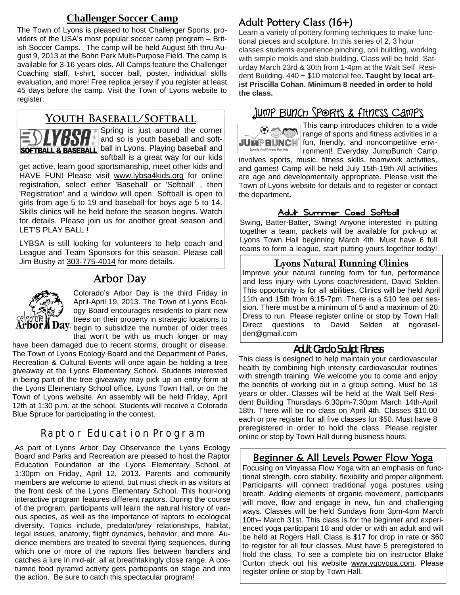### **Challenger Soccer Camp**

The Town of Lyons is pleased to host Challenger Sports, providers of the USA's most popular soccer camp program – British Soccer Camps. The camp will be held August 5th thru August 9, 2013 at the Bohn Park Multi-Purpose Field. The camp is available for 3-16 years olds. All Camps feature the Challenger Coaching staff, t-shirt, soccer ball, poster, individual skills evaluation, and more! Free replica jersey if you register at least 45 days before the camp. Visit the Town of Lyons website to register.

## **Youth Baseball/Softball**



Spring is just around the corner and so is youth baseball and soft-**SOFTBALL & BASEBALL** ball in Lyons. Playing baseball and softball is a great way for our kids

get active, learn good sportsmanship, meet other kids and HAVE FUN! Please visit www.lybsa4kids.org for online registration, select either 'Baseball' or 'Softball' , then 'Registration' and a window will open. Softball is open to girls from age 5 to 19 and baseball for boys age 5 to 14. Skills clinics will be held before the season begins. Watch for details. Please join us for another great season and LET'S PLAY BALL !

LYBSA is still looking for volunteers to help coach and League and Team Sponsors for this season. Please call Jim Busby at 303-775-4014 for more details.

## Arbor Day



Colorado's Arbor Day is the third Friday in April-April 19, 2013. The Town of Lyons Ecology Board encourages residents to plant new trees on their property in strategic locations to  $\lambda$  begin to subsidize the number of older trees that won't be with us much longer or may

have been damaged due to recent storms, drought or disease. The Town of Lyons Ecology Board and the Department of Parks, Recreation & Cultural Events will once again be holding a tree giveaway at the Lyons Elementary School. Students interested in being part of the tree giveaway may pick up an entry form at the Lyons Elementary School office, Lyons Town Hall, or on the Town of Lyons website. An assembly will be held Friday, April 12th at 1:30 p.m. at the school. Students will receive a Colorado Blue Spruce for participating in the contest.

## Raptor Education Program

As part of Lyons Arbor Day Observance the Lyons Ecology Board and Parks and Recreation are pleased to host the Raptor Education Foundation at the Lyons Elementary School at 1:30pm on Friday, April 12, 2013. Parents and community members are welcome to attend, but must check in as visitors at the front desk of the Lyons Elementary School. This hour-long interactive program features different raptors. During the course of the program, participants will learn the natural history of various species, as well as the importance of raptors to ecological diversity. Topics include, predator/prey relationships, habitat, legal issues, anatomy, flight dynamics, behavior, and more. Audience members are treated to several flying sequences, during which one or more of the raptors flies between handlers and catches a lure in mid-air, all at breathtakingly close range. A costumed food pyramid activity gets participants on stage and into the action. Be sure to catch this spectacular program!

# Adult Pottery Class (16+)

Learn a variety of pottery forming techniques to make functional pieces and sculpture. In this series of 2, 3 hour classes students experience pinching, coil building, working with simple molds and slab building. Class will be held Saturday March 23rd & 30th from 1-4pm at the Walt Self Resident Building. 440 + \$10 material fee. **Taught by local artist Priscilla Cohan. Minimum 8 needed in order to hold the class.** 

# <u>Jump Bunch Sports & fitness Camps</u>



This camp introduces children to a wide  $\mathbf{N}$  range of sports and fitness activities in a JUMPBUNCH fun, friendly, and noncompetitive environment! Everyday JumpBunch Camp involves sports, music, fitness skills, teamwork activities, and games! Camp will be held July 15th-19th All activities are age and developmentally appropriate. Please visit the Town of Lyons website for details and to register or contact the department**.** 

### Adult Summer Coed Softball

Swing, Batter-Batter, Swing! Anyone interested in putting together a team, packets will be available for pick-up at Lyons Town Hall beginning March 4th. Must have 6 full teams to form a league, start putting yours together today!

#### Lyons Natural Running Clinics

Improve your natural running form for fun, performance and less injury with Lyons coach/resident, David Selden. This opportunity is for all abilities. Clinics will be held April 11th and 15th from 6:15-7pm. There is a \$10 fee per session. There must be a minimum of 5 and a maximum of 20. Dress to run. Please register online or stop by Town Hall. Direct questions to David Selden at ngoraselden@gmail.com

### Adult Cardio Sculpt Fitness

This class is designed to help maintain your cardiovascular health by combining high intensity cardiovascular routines with strength training. We welcome you to come and enjoy the benefits of working out in a group setting. Must be 18 years or older. Classes will be held at the Walt Self Resident Building Thursdays 6:30pm-7:30pm March 14th-April 18th. There will be no class on April 4th. Classes \$10.00 each or pre register for all five classes for \$50. Must have 8 preregistered in order to hold the class. Please register online or stop by Town Hall during business hours.

## Beginner & All Levels Power Flow Yoga

Focusing on Vinyassa Flow Yoga with an emphasis on functional strength, core stability, flexibility and proper alignment. Participants will connect traditional yoga postures using breath. Adding elements of organic movement, participants will move, flow and engage in new, fun and challenging ways. Classes will be held Sundays from 3pm-4pm March 10th– March 31st. This class is for the beginner and experienced yoga participant 18 and older or with an adult and will be held at Rogers Hall. Class is \$17 for drop in rate or \$60 to register for all four classes. Must have 5 preregistered to hold the class. To see a complete bio on instructor Blake Curton check out his website www.ygoyoga.com. Please register online or stop by Town Hall.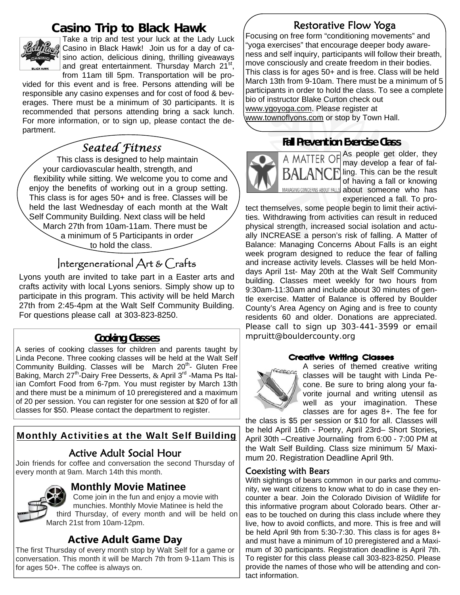# **Casino Trip to Black Hawk**



Take a trip and test your luck at the Lady Luck Casino in Black Hawk! Join us for a day of casino action, delicious dining, thrilling giveaways and great entertainment. Thursday March 21<sup>st</sup>,

from 11am till 5pm. Transportation will be provided for this event and is free. Persons attending will be responsible any casino expenses and for cost of food & beverages. There must be a minimum of 30 participants. It is recommended that persons attending bring a sack lunch. For more information, or to sign up, please contact the department.

# *Seated Fitness*

 This class is designed to help maintain your cardiovascular health, strength, and flexibility while sitting. We welcome you to come and enjoy the benefits of working out in a group setting. This class is for ages 50+ and is free. Classes will be held the last Wednesday of each month at the Walt Self Community Building. Next class will be held March 27th from 10am-11am. There must be a minimum of 5 Participants in order to hold the class.

# Intergenerational Art & Crafts

Lyons youth are invited to take part in a Easter arts and crafts activity with local Lyons seniors. Simply show up to participate in this program. This activity will be held March 27th from 2:45-4pm at the Walt Self Community Building. For questions please call at 303-823-8250.

### **Cooking Classes**

A series of cooking classes for children and parents taught by Linda Pecone. Three cooking classes will be held at the Walt Self Community Building. Classes will be March 20<sup>th</sup>- Gluten Free Baking, March  $27^{th}$ -Dairy Free Desserts, & April  $3^{rd}$  -Mama Ps Italian Comfort Food from 6-7pm. You must register by March 13th and there must be a minimum of 10 preregistered and a maximum of 20 per session. You can register for one session at \$20 of for all classes for \$50. Please contact the department to register.

## Monthly Activities at the Walt Self Building

## Active Adult Social Hour

Join friends for coffee and conversation the second Thursday of every month at 9am. March 14th this month.



### **Monthly Movie Matinee**

 Come join in the fun and enjoy a movie with munchies. Monthly Movie Matinee is held the third Thursday, of every month and will be held on March 21st from 10am-12pm.

## **Active Adult Game Day**

The first Thursday of every month stop by Walt Self for a game or conversation. This month it will be March 7th from 9-11am This is for ages 50+. The coffee is always on.

## Restorative Flow Yoga

Focusing on free form "conditioning movements" and "yoga exercises" that encourage deeper body awareness and self inquiry, participants will follow their breath, move consciously and create freedom in their bodies. This class is for ages 50+ and is free. Class will be held March 13th from 9-10am. There must be a minimum of 5 participants in order to hold the class. To see a complete bio of instructor Blake Curton check out www.ygoyoga.com. Please register at www.townoflyons.com or stop by Town Hall.

## **Fall Prevention Exercise Class**



A MATTER OF As people get older, they may develop a fear of falling. This can be the result of having a fall or knowing about someone who has experienced a fall. To pro-

tect themselves, some people begin to limit their activities. Withdrawing from activities can result in reduced physical strength, increased social isolation and actually INCREASE a person's risk of falling. A Matter of Balance: Managing Concerns About Falls is an eight week program designed to reduce the fear of falling and increase activity levels. Classes will be held Mondays April 1st- May 20th at the Walt Self Community building. Classes meet weekly for two hours from 9:30am-11:30am and include about 30 minutes of gentle exercise. Matter of Balance is offered by Boulder County's Area Agency on Aging and is free to county residents 60 and older. Donations are appreciated. Please call to sign up 303-441-3599 or email mpruitt@bouldercounty.org

#### Creative Writing Classes



A series of themed creative writing classes will be taught with Linda Pecone. Be sure to bring along your favorite journal and writing utensil as well as your imagination. These classes are for ages 8+. The fee for

the class is \$5 per session or \$10 for all. Classes will be held April 16th - Poetry, April 23rd– Short Stories**,**  April 30th –Creative Journaling from 6:00 - 7:00 PM at the Walt Self Building. Class size minimum 5/ Maximum 20. Registration Deadline April 9th.

#### Coexisting with Bears

With sightings of bears common in our parks and community, we want citizens to know what to do in case they encounter a bear. Join the Colorado Division of Wildlife for this informative program about Colorado bears. Other areas to be touched on during this class include where they live, how to avoid conflicts, and more. This is free and will be held April 9th from 5:30-7:30. This class is for ages 8+ and must have a minimum of 10 preregistered and a Maximum of 30 participants. Registration deadline is April 7th. To register for this class please call 303-823-8250. Please provide the names of those who will be attending and contact information.